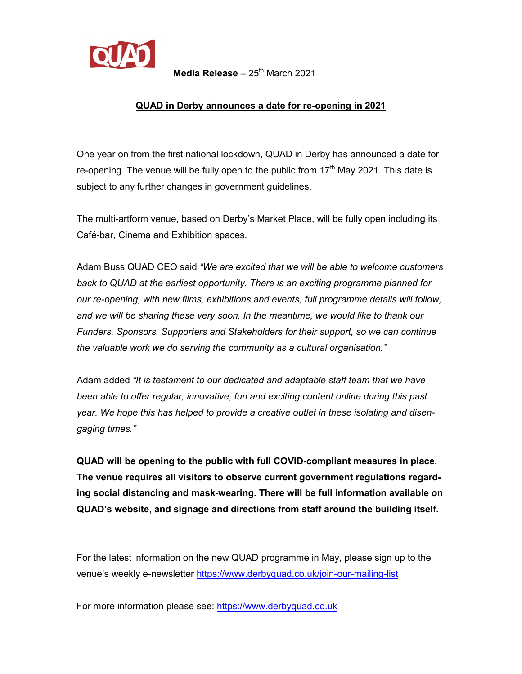

**Media Release** – 25<sup>th</sup> March 2021

## **QUAD in Derby announces a date for re-opening in 2021**

One year on from the first national lockdown, QUAD in Derby has announced a date for re-opening. The venue will be fully open to the public from  $17<sup>th</sup>$  May 2021. This date is subject to any further changes in government guidelines.

The multi-artform venue, based on Derby's Market Place, will be fully open including its Café-bar, Cinema and Exhibition spaces.

Adam Buss QUAD CEO said *"We are excited that we will be able to welcome customers back to QUAD at the earliest opportunity. There is an exciting programme planned for our re-opening, with new films, exhibitions and events, full programme details will follow, and we will be sharing these very soon. In the meantime, we would like to thank our Funders, Sponsors, Supporters and Stakeholders for their support, so we can continue the valuable work we do serving the community as a cultural organisation."*

Adam added *"It is testament to our dedicated and adaptable staff team that we have been able to offer regular, innovative, fun and exciting content online during this past year. We hope this has helped to provide a creative outlet in these isolating and disengaging times."*

**QUAD will be opening to the public with full COVID-compliant measures in place. The venue requires all visitors to observe current government regulations regarding social distancing and mask-wearing. There will be full information available on QUAD's website, and signage and directions from staff around the building itself.**

For the latest information on the new QUAD programme in May, please sign up to the venue's weekly e-newsletter<https://www.derbyquad.co.uk/join-our-mailing-list>

For more information please see: [https://www.derbyquad.co.uk](https://www.derbyquad.co.uk/)